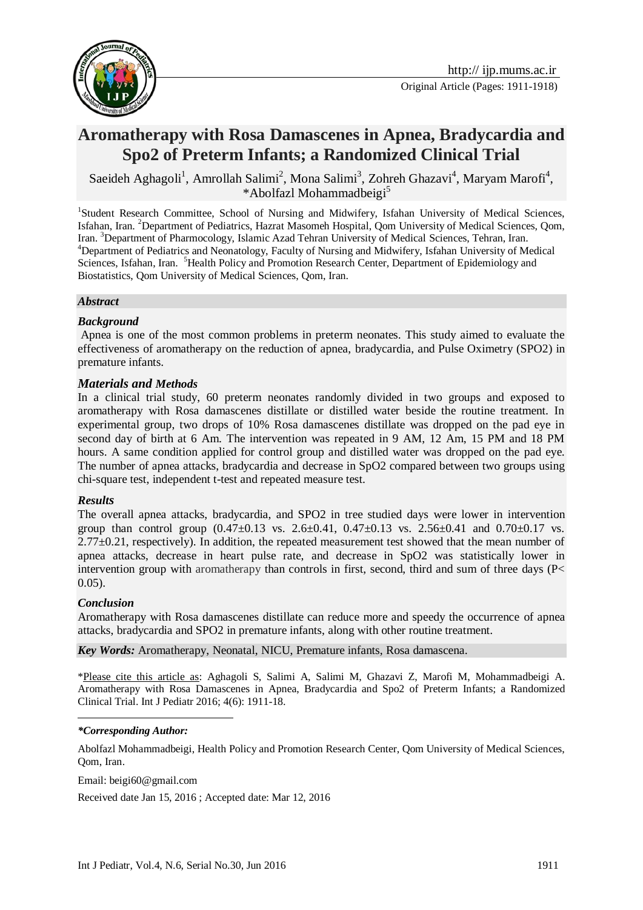

# **Aromatherapy with Rosa Damascenes in Apnea, Bradycardia and Spo2 of Preterm Infants; a Randomized Clinical Trial**

Saeideh Aghagoli<sup>1</sup>, Amrollah Salimi<sup>2</sup>, Mona Salimi<sup>3</sup>, Zohreh Ghazavi<sup>4</sup>, Maryam Marofi<sup>4</sup>, \*Abolfazl Mohammadbeigi<sup>5</sup>

<sup>1</sup>Student Research Committee, School of Nursing and Midwifery, Isfahan University of Medical Sciences, Isfahan, Iran. <sup>2</sup>Department of Pediatrics, Hazrat Masomeh Hospital, Qom University of Medical Sciences, Qom, Iran. <sup>3</sup>Department of Pharmocology, Islamic Azad Tehran University of Medical Sciences, Tehran, Iran. <sup>4</sup>Department of Pediatrics and Neonatology, Faculty of Nursing and Midwifery, Isfahan University of Medical Sciences, Isfahan, Iran. <sup>5</sup>Health Policy and Promotion Research Center, Department of Epidemiology and Biostatistics, Qom University of Medical Sciences, Qom, Iran.

#### *Abstract*

#### *Background*

Apnea is one of the most common problems in preterm neonates. This study aimed to evaluate the effectiveness of aromatherapy on the reduction of apnea, bradycardia, and Pulse Oximetry (SPO2) in premature infants.

#### *Materials and Methods*

In a clinical trial study, 60 preterm neonates randomly divided in two groups and exposed to aromatherapy with Rosa damascenes distillate or distilled water beside the routine treatment. In experimental group, two drops of 10% Rosa damascenes distillate was dropped on the pad eye in second day of birth at 6 Am. The intervention was repeated in 9 AM, 12 Am, 15 PM and 18 PM hours. A same condition applied for control group and distilled water was dropped on the pad eye. The number of apnea attacks, bradycardia and decrease in SpO2 compared between two groups using chi-square test, independent t-test and repeated measure test.

#### *Results*

The overall apnea attacks, bradycardia, and SPO2 in tree studied days were lower in intervention group than control group  $(0.47\pm0.13 \text{ vs. } 2.6\pm0.41, 0.47\pm0.13 \text{ vs. } 2.56\pm0.41 \text{ and } 0.70\pm0.17 \text{ vs. } 0.47\pm0.13 \text{ vs. } 0.47\pm0.13 \text{ vs. } 0.47\pm0.13 \text{ vs. } 0.47\pm0.13 \text{ vs. } 0.47\pm0.13 \text{ vs. } 0.47\pm0.13 \text{ vs. } 0.47\pm0.13 \text{ vs$  $2.77\pm0.21$ , respectively). In addition, the repeated measurement test showed that the mean number of apnea attacks, decrease in heart pulse rate, and decrease in SpO2 was statistically lower in intervention group with aromatherapy than controls in first, second, third and sum of three days (P< 0.05).

#### *Conclusion*

Aromatherapy with Rosa damascenes distillate can reduce more and speedy the occurrence of apnea attacks, bradycardia and SPO2 in premature infants, along with other routine treatment.

*Key Words:* Aromatherapy, Neonatal, NICU, Premature infants, Rosa damascena.

\*Please cite this article as: Aghagoli S, Salimi A, Salimi M, Ghazavi Z, Marofi M, Mohammadbeigi A. Aromatherapy with Rosa Damascenes in Apnea, Bradycardia and Spo2 of Preterm Infants; a Randomized Clinical Trial. Int J Pediatr 2016; 4(6): 1911-18.

#### <u>.</u> *\*Corresponding Author:*

Abolfazl Mohammadbeigi, Health Policy and Promotion Research Center, Qom University of Medical Sciences, Qom, Iran.

Email: [beigi60@gmail.com](mailto:beigi60@gmail.com)

Received date Jan 15, 2016 ; Accepted date: Mar 12, 2016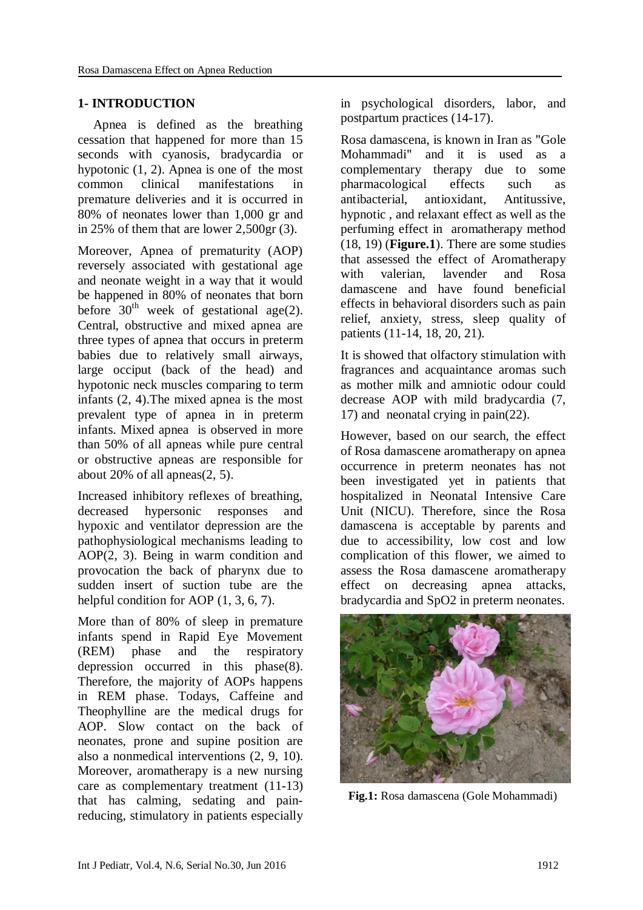### **1- INTRODUCTION**

Apnea is defined as the breathing cessation that happened for more than 15 seconds with cyanosis, bradycardia or hypotonic [\(1,](#page-6-0) [2\)](#page-6-1). Apnea is one of the most common clinical manifestations in premature deliveries and it is occurred in 80% of neonates lower than 1,000 gr and in 25% of them that are lower 2,500gr [\(3\)](#page-6-2).

Moreover, Apnea of prematurity (AOP) reversely associated with gestational age and neonate weight in a way that it would be happened in 80% of neonates that born before  $30<sup>th</sup>$  week of gestational age[\(2\)](#page-6-1). Central, obstructive and mixed apnea are three types of apnea that occurs in preterm babies due to relatively small airways, large occiput (back of the head) and hypotonic neck muscles comparing to term infants [\(2,](#page-6-1) [4\)](#page-6-3).The mixed apnea is the most prevalent type of apnea in in preterm infants. Mixed apnea is observed in more than 50% of all apneas while pure central or obstructive apneas are responsible for about 20% of all apneas[\(2,](#page-6-1) [5\)](#page-6-4).

Increased inhibitory reflexes of breathing, decreased hypersonic responses and hypoxic and ventilator depression are the pathophysiological mechanisms leading to AOP[\(2,](#page-6-1) [3\)](#page-6-2). Being in warm condition and provocation the back of pharynx due to sudden insert of suction tube are the helpful condition for AOP [\(1,](#page-6-0) [3,](#page-6-2) [6,](#page-6-5) [7\)](#page-6-6).

More than of 80% of sleep in premature infants spend in Rapid Eye Movement (REM) phase and the respiratory depression occurred in this phase[\(8\)](#page-6-7). Therefore, the majority of AOPs happens in REM phase. Todays, Caffeine and Theophylline are the medical drugs for AOP. Slow contact on the back of neonates, prone and supine position are also a nonmedical interventions [\(2,](#page-6-1) [9,](#page-6-8) [10\)](#page-6-9). Moreover, aromatherapy is a new nursing care as complementary treatment [\(11-13\)](#page-6-10) that has calming, sedating and painreducing, stimulatory in patients especially

in psychological disorders, labor, and postpartum practices [\(14-17\)](#page-6-11).

Rosa damascena, is known in Iran as "Gole Mohammadi" and it is used as a complementary therapy due to some pharmacological effects such as antibacterial, antioxidant, Antitussive, hypnotic , and relaxant effect as well as the perfuming effect in aromatherapy method [\(18,](#page-6-12) [19\)](#page-6-13) (**Figure.1**). There are some studies that assessed the effect of Aromatherapy with valerian, lavender and Rosa damascene and have found beneficial effects in behavioral disorders such as pain relief, anxiety, stress, sleep quality of patients [\(11-14,](#page-6-10) [18,](#page-6-12) [20,](#page-6-14) [21\)](#page-7-0).

It is showed that olfactory stimulation with fragrances and acquaintance aromas such as mother milk and amniotic odour could decrease AOP with mild bradycardia [\(7,](#page-6-6) [17\)](#page-6-15) and neonatal crying in pain[\(22\)](#page-7-1).

However, based on our search, the effect of Rosa damascene aromatherapy on apnea occurrence in preterm neonates has not been investigated yet in patients that hospitalized in Neonatal Intensive Care Unit (NICU). Therefore, since the Rosa damascena is acceptable by parents and due to accessibility, low cost and low complication of this flower, we aimed to assess the Rosa damascene aromatherapy effect on decreasing apnea attacks, bradycardia and SpO2 in preterm neonates.



**Fig.1:** Rosa damascena (Gole Mohammadi)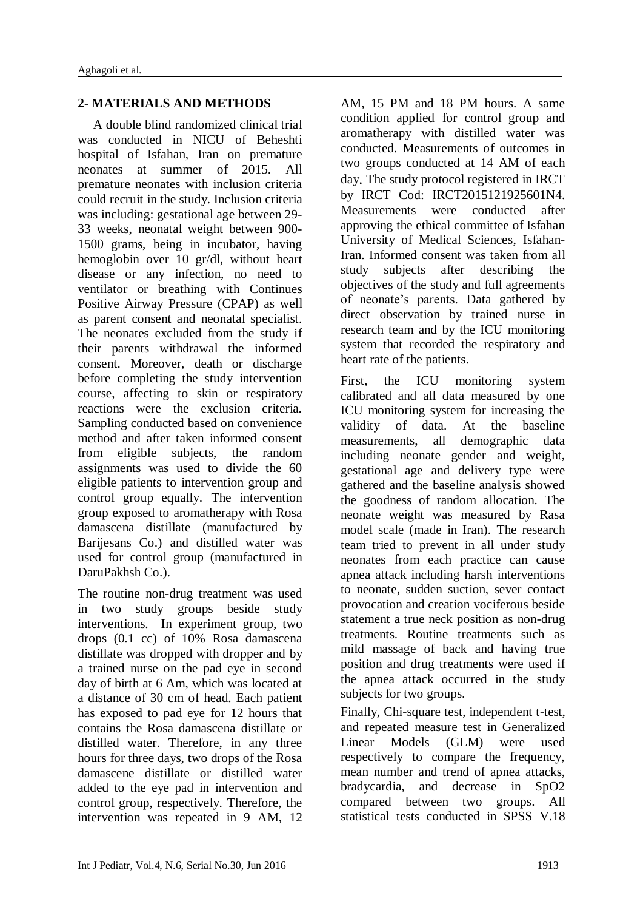# **2- MATERIALS AND METHODS**

A double blind randomized clinical trial was conducted in NICU of Beheshti hospital of Isfahan, Iran on premature neonates at summer of 2015. All premature neonates with inclusion criteria could recruit in the study. Inclusion criteria was including: gestational age between 29- 33 weeks, neonatal weight between 900- 1500 grams, being in incubator, having hemoglobin over 10 gr/dl, without heart disease or any infection, no need to ventilator or breathing with Continues Positive Airway Pressure (CPAP) as well as parent consent and neonatal specialist. The neonates excluded from the study if their parents withdrawal the informed consent. Moreover, death or discharge before completing the study intervention course, affecting to skin or respiratory reactions were the exclusion criteria. Sampling conducted based on convenience method and after taken informed consent from eligible subjects, the random assignments was used to divide the 60 eligible patients to intervention group and control group equally. The intervention group exposed to aromatherapy with Rosa damascena distillate (manufactured by Barijesans Co.) and distilled water was used for control group (manufactured in DaruPakhsh Co.).

The routine non-drug treatment was used in two study groups beside study interventions. In experiment group, two drops (0.1 cc) of 10% Rosa damascena distillate was dropped with dropper and by a trained nurse on the pad eye in second day of birth at 6 Am, which was located at a distance of 30 cm of head. Each patient has exposed to pad eye for 12 hours that contains the Rosa damascena distillate or distilled water. Therefore, in any three hours for three days, two drops of the Rosa damascene distillate or distilled water added to the eye pad in intervention and control group, respectively. Therefore, the intervention was repeated in 9 AM, 12

AM, 15 PM and 18 PM hours. A same condition applied for control group and aromatherapy with distilled water was conducted. Measurements of outcomes in two groups conducted at 14 AM of each day. The study protocol registered in IRCT by IRCT Cod: IRCT2015121925601N4. Measurements were conducted after approving the ethical committee of Isfahan University of Medical Sciences, Isfahan-Iran. Informed consent was taken from all study subjects after describing the objectives of the study and full agreements of neonate's parents. Data gathered by direct observation by trained nurse in research team and by the ICU monitoring system that recorded the respiratory and heart rate of the patients.

First, the ICU monitoring system calibrated and all data measured by one ICU monitoring system for increasing the validity of data. At the baseline measurements, all demographic data including neonate gender and weight, gestational age and delivery type were gathered and the baseline analysis showed the goodness of random allocation. The neonate weight was measured by Rasa model scale (made in Iran). The research team tried to prevent in all under study neonates from each practice can cause apnea attack including harsh interventions to neonate, sudden suction, sever contact provocation and creation vociferous beside statement a true neck position as non-drug treatments. Routine treatments such as mild massage of back and having true position and drug treatments were used if the apnea attack occurred in the study subjects for two groups.

Finally, Chi-square test, independent t-test, and repeated measure test in Generalized Linear Models (GLM) were used respectively to compare the frequency, mean number and trend of apnea attacks, bradycardia, and decrease in SpO2 compared between two groups. All statistical tests conducted in SPSS V.18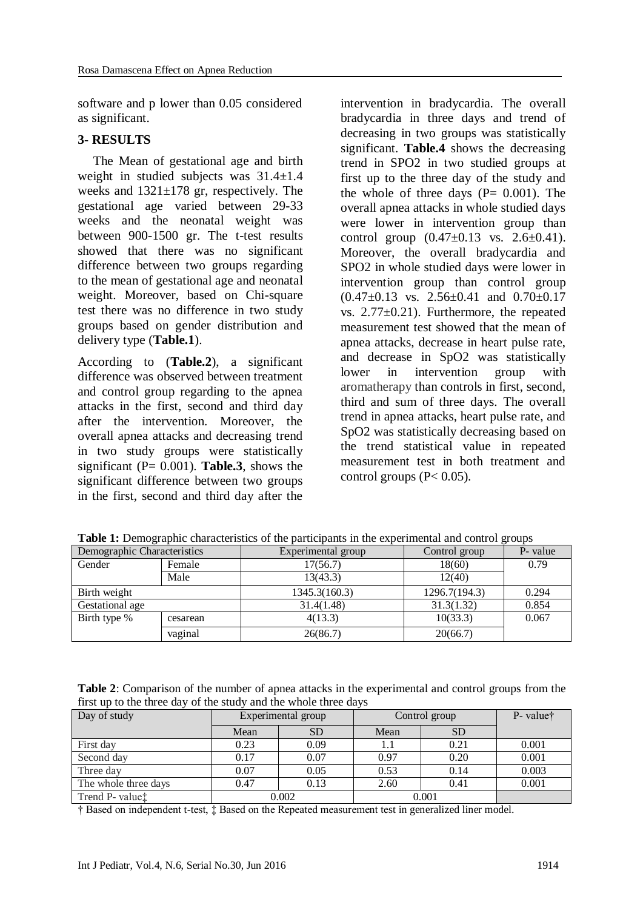software and p lower than 0.05 considered as significant.

# **3- RESULTS**

The Mean of gestational age and birth weight in studied subjects was 31.4±1.4 weeks and 1321±178 gr, respectively. The gestational age varied between 29-33 weeks and the neonatal weight was between 900-1500 gr. The t-test results showed that there was no significant difference between two groups regarding to the mean of gestational age and neonatal weight. Moreover, based on Chi-square test there was no difference in two study groups based on gender distribution and delivery type (**Table.1**).

According to (**Table.2**), a significant difference was observed between treatment and control group regarding to the apnea attacks in the first, second and third day after the intervention. Moreover, the overall apnea attacks and decreasing trend in two study groups were statistically significant (P= 0.001). **Table.3**, shows the significant difference between two groups in the first, second and third day after the

intervention in bradycardia. The overall bradycardia in three days and trend of decreasing in two groups was statistically significant. **Table.4** shows the decreasing trend in SPO2 in two studied groups at first up to the three day of the study and the whole of three days  $(P= 0.001)$ . The overall apnea attacks in whole studied days were lower in intervention group than control group  $(0.47 \pm 0.13 \text{ vs. } 2.6 \pm 0.41)$ . Moreover, the overall bradycardia and SPO2 in whole studied days were lower in intervention group than control group  $(0.47\pm0.13 \text{ vs. } 2.56\pm0.41 \text{ and } 0.70\pm0.17$ vs. 2.77±0.21). Furthermore, the repeated measurement test showed that the mean of apnea attacks, decrease in heart pulse rate, and decrease in SpO2 was statistically lower in intervention group with aromatherapy than controls in first, second, third and sum of three days. The overall trend in apnea attacks, heart pulse rate, and SpO2 was statistically decreasing based on the trend statistical value in repeated measurement test in both treatment and control groups ( $P < 0.05$ ).

| Demographic Characteristics |         | Experimental group | Control group | P- value |
|-----------------------------|---------|--------------------|---------------|----------|
| Gender                      | Female  | 17(56.7)           | 18(60)        | 0.79     |
|                             | Male    | 13(43.3)           | 12(40)        |          |
| Birth weight                |         | 1345.3(160.3)      | 1296.7(194.3) | 0.294    |
| Gestational age             |         | 31.4(1.48)         | 31.3(1.32)    | 0.854    |
| Birth type %<br>cesarean    |         | 4(13.3)            | 10(33.3)      | 0.067    |
|                             | vaginal | 26(86.7)           | 20(66.7)      |          |

**Table 1:** Demographic characteristics of the participants in the experimental and control groups

**Table 2**: Comparison of the number of apnea attacks in the experimental and control groups from the first up to the three day of the study and the whole three days

| Day of study                | Experimental group |           | Control group | P- value <sup>†</sup> |       |
|-----------------------------|--------------------|-----------|---------------|-----------------------|-------|
|                             | Mean               | <b>SD</b> | Mean          | <b>SD</b>             |       |
| First day                   | 0.23               | 0.09      |               | 0.21                  | 0.001 |
| Second day                  | 0.17               | 0.07      | 0.97          | 0.20                  | 0.001 |
| Three day                   | 0.07               | 0.05      | 0.53          | 0.14                  | 0.003 |
| The whole three days        | 0.47               | 0.13      | 2.60          | 0.41                  | 0.001 |
| Trend P- value <sup>†</sup> | 0.002              |           | 0.001         |                       |       |

† Based on independent t-test, ‡ Based on the Repeated measurement test in generalized liner model.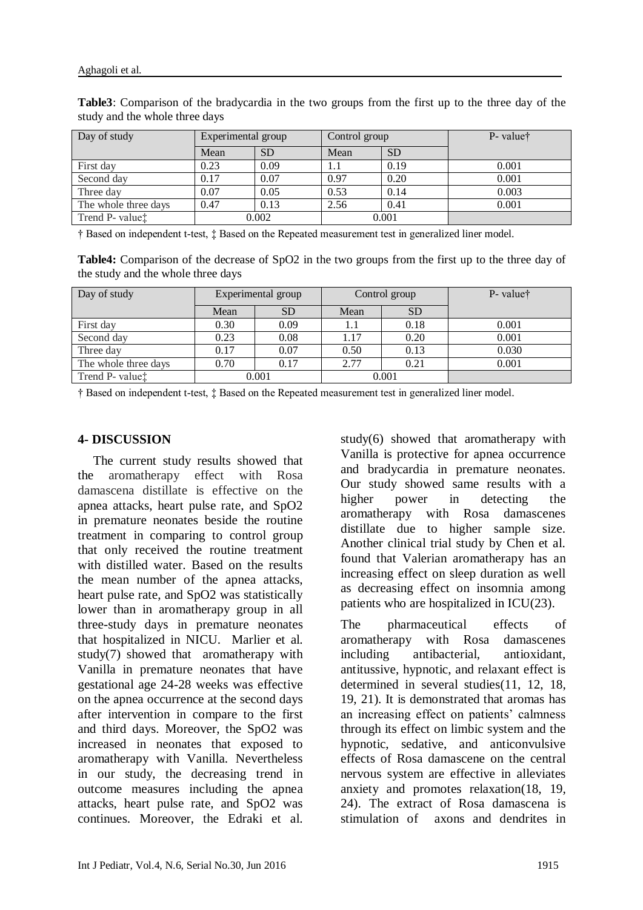| Day of study                | Experimental group |           | Control group |           | P- value <sup>†</sup> |
|-----------------------------|--------------------|-----------|---------------|-----------|-----------------------|
|                             | Mean               | <b>SD</b> | Mean          | <b>SD</b> |                       |
| First day                   | 0.23               | 0.09      | 1.1           | 0.19      | 0.001                 |
| Second day                  | 0.17               | 0.07      | 0.97          | 0.20      | 0.001                 |
| Three day                   | 0.07               | 0.05      | 0.53          | 0.14      | 0.003                 |
| The whole three days        | 0.47               | 0.13      | 2.56          | 0.41      | 0.001                 |
| Trend P- value <sup>†</sup> |                    | 0.002     |               | 0.001     |                       |

**Table3**: Comparison of the bradycardia in the two groups from the first up to the three day of the study and the whole three days

† Based on independent t-test, ‡ Based on the Repeated measurement test in generalized liner model.

**Table4:** Comparison of the decrease of SpO2 in the two groups from the first up to the three day of the study and the whole three days

| Day of study                | Experimental group |           | Control group |           | P- value <sup>†</sup> |
|-----------------------------|--------------------|-----------|---------------|-----------|-----------------------|
|                             | Mean               | <b>SD</b> | Mean          | <b>SD</b> |                       |
| First day                   | 0.30               | 0.09      |               | 0.18      | 0.001                 |
| Second day                  | 0.23               | 0.08      | 1.17          | 0.20      | 0.001                 |
| Three day                   | 0.17               | 0.07      | 0.50          | 0.13      | 0.030                 |
| The whole three days        | 0.70               | 0.17      | 2.77          | 0.21      | 0.001                 |
| Trend P- value <sup>†</sup> |                    | 0.001     |               | 0.001     |                       |

† Based on independent t-test, ‡ Based on the Repeated measurement test in generalized liner model.

#### **4- DISCUSSION**

The current study results showed that the aromatherapy effect with Rosa damascena distillate is effective on the apnea attacks, heart pulse rate, and SpO2 in premature neonates beside the routine treatment in comparing to control group that only received the routine treatment with distilled water. Based on the results the mean number of the apnea attacks, heart pulse rate, and SpO2 was statistically lower than in aromatherapy group in all three-study days in premature neonates that hospitalized in NICU. Marlier et al. study[\(7\)](#page-6-6) showed that aromatherapy with Vanilla in premature neonates that have gestational age 24-28 weeks was effective on the apnea occurrence at the second days after intervention in compare to the first and third days. Moreover, the SpO2 was increased in neonates that exposed to aromatherapy with Vanilla. Nevertheless in our study, the decreasing trend in outcome measures including the apnea attacks, heart pulse rate, and SpO2 was continues. Moreover, the Edraki et al.

study[\(6\)](#page-6-5) showed that aromatherapy with Vanilla is protective for apnea occurrence and bradycardia in premature neonates. Our study showed same results with a higher power in detecting the aromatherapy with Rosa damascenes distillate due to higher sample size. Another clinical trial study by Chen et al. found that Valerian aromatherapy has an increasing effect on sleep duration as well as decreasing effect on insomnia among patients who are hospitalized in ICU[\(23\)](#page-7-2).

The pharmaceutical effects of aromatherapy with Rosa damascenes including antibacterial, antioxidant, antitussive, hypnotic, and relaxant effect is determined in several studies[\(11,](#page-6-10) [12,](#page-6-16) [18,](#page-6-12) [19,](#page-6-13) [21\)](#page-7-0). It is demonstrated that aromas has an increasing effect on patients' calmness through its effect on limbic system and the hypnotic, sedative, and anticonvulsive effects of Rosa damascene on the central nervous system are effective in alleviates anxiety and promotes relaxation[\(18,](#page-6-12) [19,](#page-6-13) [24\)](#page-7-3). The extract of Rosa damascena is stimulation of axons and dendrites in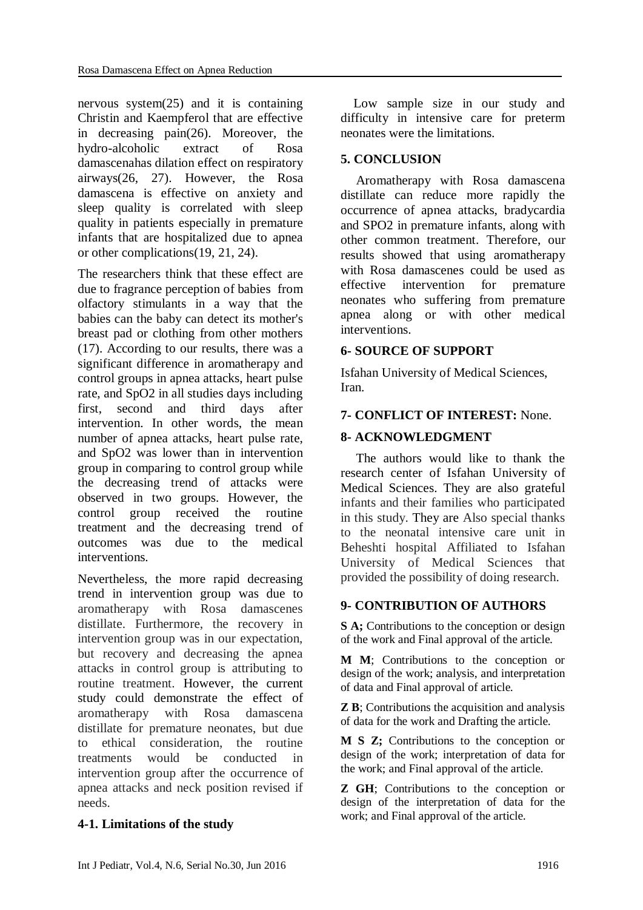nervous system $(25)$  and it is containing Christin and Kaempferol that are effective in decreasing pain[\(26\)](#page-7-5). Moreover, the hydro-alcoholic extract of Rosa damascenahas dilation effect on respiratory airways[\(26,](#page-7-5) [27\)](#page-7-6). However, the Rosa damascena is effective on anxiety and sleep quality is correlated with sleep quality in patients especially in premature infants that are hospitalized due to apnea or other complications[\(19,](#page-6-13) [21,](#page-7-0) [24\)](#page-7-3).

The researchers think that these effect are due to fragrance perception of babies from olfactory stimulants in a way that the babies can the baby can detect its mother's breast pad or clothing from other mothers [\(17\)](#page-6-15). According to our results, there was a significant difference in aromatherapy and control groups in apnea attacks, heart pulse rate, and SpO2 in all studies days including first, second and third days after intervention. In other words, the mean number of apnea attacks, heart pulse rate, and SpO2 was lower than in intervention group in comparing to control group while the decreasing trend of attacks were observed in two groups. However, the control group received the routine treatment and the decreasing trend of outcomes was due to the medical interventions.

Nevertheless, the more rapid decreasing trend in intervention group was due to aromatherapy with Rosa damascenes distillate. Furthermore, the recovery in intervention group was in our expectation, but recovery and decreasing the apnea attacks in control group is attributing to routine treatment. However, the current study could demonstrate the effect of aromatherapy with Rosa damascena distillate for premature neonates, but due to ethical consideration, the routine treatments would be conducted in intervention group after the occurrence of apnea attacks and neck position revised if needs.

# **4-1. Limitations of the study**

 Low sample size in our study and difficulty in intensive care for preterm neonates were the limitations.

### **5. CONCLUSION**

Aromatherapy with Rosa damascena distillate can reduce more rapidly the occurrence of apnea attacks, bradycardia and SPO2 in premature infants, along with other common treatment. Therefore, our results showed that using aromatherapy with Rosa damascenes could be used as effective intervention for premature neonates who suffering from premature apnea along or with other medical interventions.

#### **6- SOURCE OF SUPPORT**

Isfahan University of Medical Sciences, Iran.

# **7- CONFLICT OF INTEREST:** None.

# **8- ACKNOWLEDGMENT**

The authors would like to thank the research center of Isfahan University of Medical Sciences. They are also grateful infants and their families who participated in this study. They are Also special thanks to the neonatal intensive care unit in Beheshti hospital Affiliated to Isfahan University of Medical Sciences that provided the possibility of doing research.

# **9- CONTRIBUTION OF AUTHORS**

**S A:** Contributions to the conception or design of the work and Final approval of the article.

**M M**; Contributions to the conception or design of the work; analysis, and interpretation of data and Final approval of article.

**Z B**; Contributions the acquisition and analysis of data for the work and Drafting the article.

**M S Z;** Contributions to the conception or design of the work; interpretation of data for the work; and Final approval of the article.

**Z GH**; Contributions to the conception or design of the interpretation of data for the work; and Final approval of the article.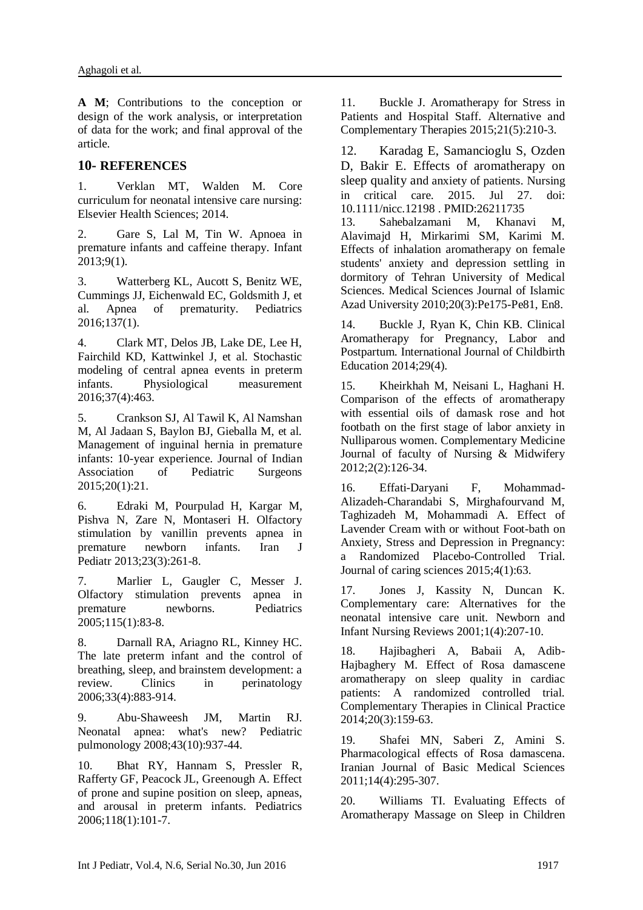**A M**; Contributions to the conception or design of the work analysis, or interpretation of data for the work; and final approval of the article.

# **10- REFERENCES**

<span id="page-6-0"></span>1. Verklan MT, Walden M. Core curriculum for neonatal intensive care nursing: Elsevier Health Sciences; 2014.

<span id="page-6-1"></span>2. Gare S, Lal M, Tin W. Apnoea in premature infants and caffeine therapy. Infant 2013;9(1).

<span id="page-6-2"></span>3. Watterberg KL, Aucott S, Benitz WE, Cummings JJ, Eichenwald EC, Goldsmith J, et al. Apnea of prematurity. Pediatrics 2016;137(1).

<span id="page-6-3"></span>4. Clark MT, Delos JB, Lake DE, Lee H, Fairchild KD, Kattwinkel J, et al. Stochastic modeling of central apnea events in preterm infants. Physiological measurement 2016;37(4):463.

<span id="page-6-4"></span>5. Crankson SJ, Al Tawil K, Al Namshan M, Al Jadaan S, Baylon BJ, Gieballa M, et al. Management of inguinal hernia in premature infants: 10-year experience. Journal of Indian Association of Pediatric Surgeons 2015;20(1):21.

<span id="page-6-5"></span>6. Edraki M, Pourpulad H, Kargar M, Pishva N, Zare N, Montaseri H. Olfactory stimulation by vanillin prevents apnea in premature newborn infants. [Iran J](http://www.ncbi.nlm.nih.gov/pubmed/23795247)  [Pediatr](http://www.ncbi.nlm.nih.gov/pubmed/23795247) 2013;23(3):261-8.

<span id="page-6-6"></span>7. Marlier L, Gaugler C, Messer J. Olfactory stimulation prevents apnea in premature newborns. Pediatrics 2005;115(1):83-8.

<span id="page-6-7"></span>8. Darnall RA, Ariagno RL, Kinney HC. The late preterm infant and the control of breathing, sleep, and brainstem development: a review. Clinics in perinatology 2006;33(4):883-914.

<span id="page-6-8"></span>9. Abu‐Shaweesh JM, Martin RJ. Neonatal apnea: what's new? Pediatric pulmonology 2008;43(10):937-44.

<span id="page-6-9"></span>10. Bhat RY, Hannam S, Pressler R, Rafferty GF, Peacock JL, Greenough A. Effect of prone and supine position on sleep, apneas, and arousal in preterm infants. Pediatrics 2006;118(1):101-7.

<span id="page-6-10"></span>11. Buckle J. Aromatherapy for Stress in Patients and Hospital Staff. Alternative and Complementary Therapies 2015;21(5):210-3.

<span id="page-6-16"></span>12. Karadag E, Samancioglu S, Ozden D, Bakir E. Effects of aromatherapy on sleep quality and anxiety of patients. Nursing in critical care. 2015. Jul 27. doi: 10.1111/nicc.12198 . PMID:26211735

13. Sahebalzamani M, Khanavi M, Alavimajd H, Mirkarimi SM, Karimi M. Effects of inhalation aromatherapy on female students' anxiety and depression settling in dormitory of Tehran University of Medical Sciences. Medical Sciences Journal of Islamic Azad University 2010;20(3):Pe175-Pe81, En8.

<span id="page-6-11"></span>14. Buckle J, Ryan K, Chin KB. Clinical Aromatherapy for Pregnancy, Labor and Postpartum. International Journal of Childbirth Education 2014;29(4).

15. Kheirkhah M, Neisani L, Haghani H. Comparison of the effects of aromatherapy with essential oils of damask rose and hot footbath on the first stage of labor anxiety in Nulliparous women. Complementary Medicine Journal of faculty of Nursing & Midwifery 2012;2(2):126-34.

16. Effati-Daryani F, Mohammad-Alizadeh-Charandabi S, Mirghafourvand M, Taghizadeh M, Mohammadi A. Effect of Lavender Cream with or without Foot-bath on Anxiety, Stress and Depression in Pregnancy: a Randomized Placebo-Controlled Trial. Journal of caring sciences 2015;4(1):63.

<span id="page-6-15"></span>17. Jones J, Kassity N, Duncan K. Complementary care: Alternatives for the neonatal intensive care unit. Newborn and Infant Nursing Reviews 2001;1(4):207-10.

<span id="page-6-12"></span>18. Hajibagheri A, Babaii A, Adib-Hajbaghery M. Effect of Rosa damascene aromatherapy on sleep quality in cardiac patients: A randomized controlled trial. Complementary Therapies in Clinical Practice 2014;20(3):159-63.

<span id="page-6-13"></span>19. Shafei MN, Saberi Z, Amini S. Pharmacological effects of Rosa damascena. Iranian Journal of Basic Medical Sciences 2011;14(4):295-307.

<span id="page-6-14"></span>20. Williams TI. Evaluating Effects of Aromatherapy Massage on Sleep in Children